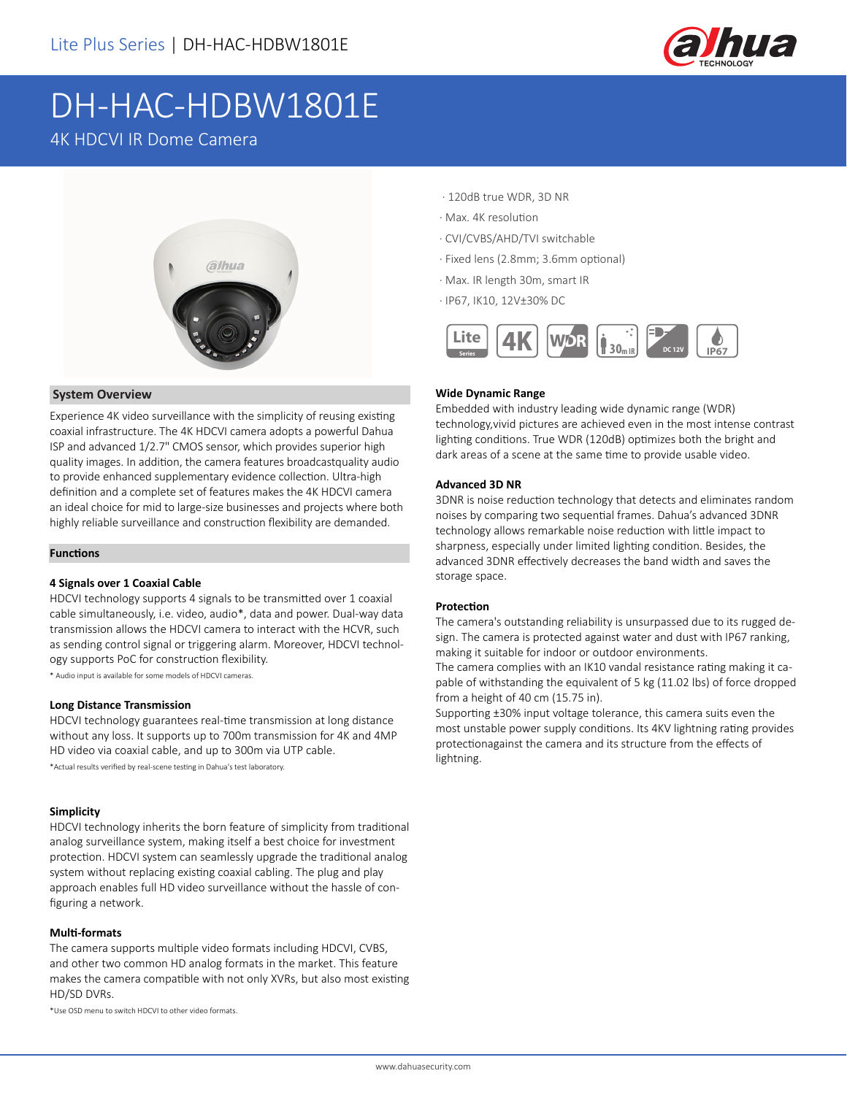

# DH-HAC-HDBW1801E

## 4K HDCVI IR Dome Camera



#### **System Overview**

Experience 4K video surveillance with the simplicity of reusing existing coaxial infrastructure. The 4K HDCVI camera adopts a powerful Dahua ISP and advanced 1/2.7" CMOS sensor, which provides superior high quality images. In addition, the camera features broadcastquality audio to provide enhanced supplementary evidence collection. Ultra-high definition and a complete set of features makes the 4K HDCVI camera an ideal choice for mid to large-size businesses and projects where both highly reliable surveillance and construction flexibility are demanded.

#### **Functions**

#### **4 Signals over 1 Coaxial Cable**

HDCVI technology supports 4 signals to be transmitted over 1 coaxial cable simultaneously, i.e. video, audio\*, data and power. Dual-way data transmission allows the HDCVI camera to interact with the HCVR, such as sending control signal or triggering alarm. Moreover, HDCVI technology supports PoC for construction flexibility.

\* Audio input is available for some models of HDCVI cameras.

#### **Long Distance Transmission**

HDCVI technology guarantees real-time transmission at long distance without any loss. It supports up to 700m transmission for 4K and 4MP HD video via coaxial cable, and up to 300m via UTP cable.

\*Actual results verified by real-scene testing in Dahua's test laboratory.

#### **Simplicity**

HDCVI technology inherits the born feature of simplicity from traditional analog surveillance system, making itself a best choice for investment protection. HDCVI system can seamlessly upgrade the traditional analog system without replacing existing coaxial cabling. The plug and play approach enables full HD video surveillance without the hassle of configuring a network.

#### **Multi-formats**

The camera supports multiple video formats including HDCVI, CVBS, and other two common HD analog formats in the market. This feature makes the camera compatible with not only XVRs, but also most existing HD/SD DVRs.

\*Use OSD menu to switch HDCVI to other video formats.

- · 120dB true WDR, 3D NR
- · Max. 4K resolution
- · CVI/CVBS/AHD/TVI switchable
- · Fixed lens (2.8mm; 3.6mm optional)
- · Max. IR length 30m, smart IR
- · IP67, IK10, 12V±30% DC



#### **Wide Dynamic Range**

Embedded with industry leading wide dynamic range (WDR) technology,vivid pictures are achieved even in the most intense contrast lighting conditions. True WDR (120dB) optimizes both the bright and dark areas of a scene at the same time to provide usable video.

#### **Advanced 3D NR**

3DNR is noise reduction technology that detects and eliminates random noises by comparing two sequential frames. Dahua's advanced 3DNR technology allows remarkable noise reduction with little impact to sharpness, especially under limited lighting condition. Besides, the advanced 3DNR effectively decreases the band width and saves the storage space.

#### **Protection**

The camera's outstanding reliability is unsurpassed due to its rugged design. The camera is protected against water and dust with IP67 ranking, making it suitable for indoor or outdoor environments.

The camera complies with an IK10 vandal resistance rating making it capable of withstanding the equivalent of 5 kg (11.02 lbs) of force dropped from a height of 40 cm (15.75 in).

Supporting ±30% input voltage tolerance, this camera suits even the most unstable power supply conditions. Its 4KV lightning rating provides protectionagainst the camera and its structure from the effects of lightning.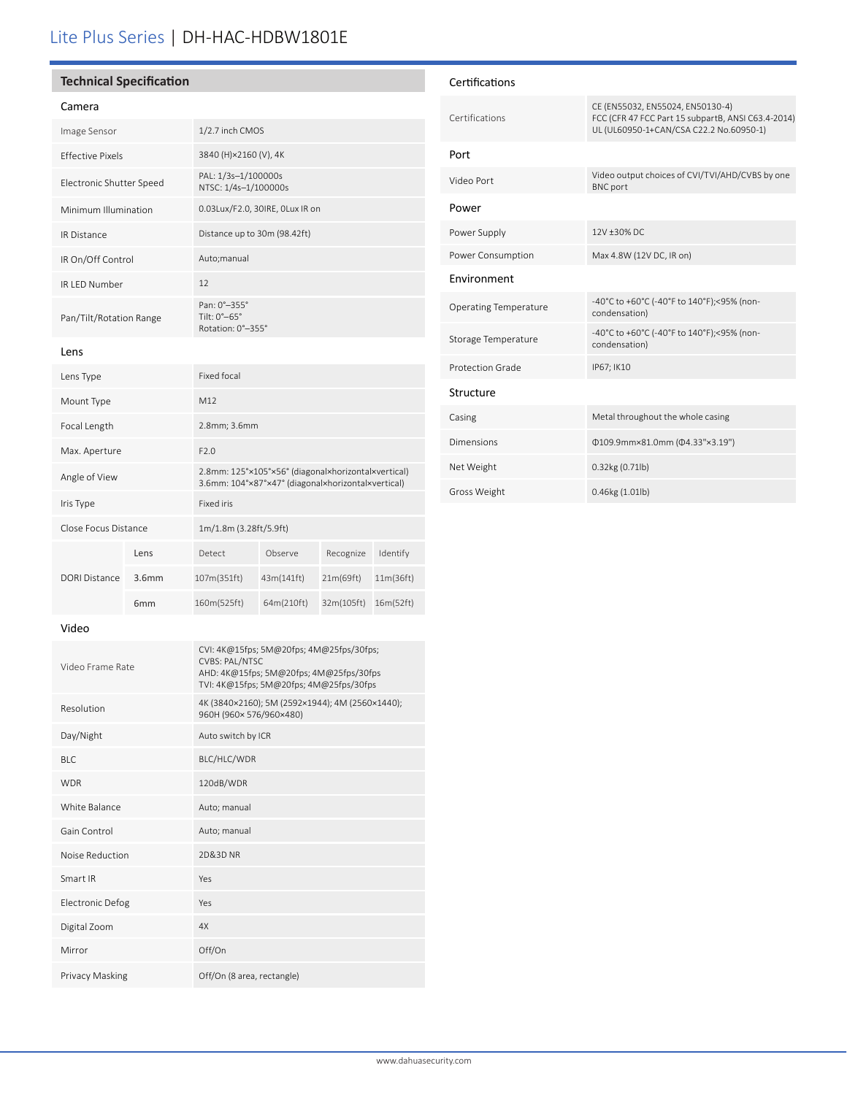## Lite Plus Series | DH-HAC-HDBW1801E

#### **Technical Specification**

Mount Type M12

Max. Aperture F2.0

Iris Type Fixed iris

Close Focus Distance 1m/1.8m (3.28ft/5.9ft)

Focal Length 2.8mm; 3.6mm

#### Camera

| Image Sensor             | 1/2.7 inch CMOS                                                 |
|--------------------------|-----------------------------------------------------------------|
| <b>Effective Pixels</b>  | 3840 (H)×2160 (V), 4K                                           |
| Electronic Shutter Speed | PAL: 1/3s-1/100000s<br>NTSC: 1/4s-1/100000s                     |
| Minimum Illumination     | 0.03Lux/F2.0, 30IRE, OLux IR on                                 |
| <b>IR Distance</b>       | Distance up to 30m (98.42ft)                                    |
| IR On/Off Control        | Auto;manual                                                     |
| IR LED Number            | 12                                                              |
| Pan/Tilt/Rotation Range  | Pan: 0°-355°<br>Tilt: $0^\circ - 65^\circ$<br>Rotation: 0°-355° |
| Lens                     |                                                                 |
| Lens Type                | Fixed focal                                                     |

Angle of View 2.8mm: 125°×105°×56° (diagonal×horizontal×vertical) 3.6mm: 104°×87°×47° (diagonal×horizontal×vertical)

Lens Detect Observe Recognize Identify 3.6mm 107m(351ft) 43m(141ft) 21m(69ft) 11m(36ft) 6mm 160m(525ft) 64m(210ft) 32m(105ft) 16m(52ft)

| Certifications               |                                                                                                                                   |
|------------------------------|-----------------------------------------------------------------------------------------------------------------------------------|
| Certifications               | CE (EN55032, EN55024, EN50130-4)<br>FCC (CFR 47 FCC Part 15 subpartB, ANSI C63.4-2014)<br>UL (UL60950-1+CAN/CSA C22.2 No.60950-1) |
| Port                         |                                                                                                                                   |
| Video Port                   | Video output choices of CVI/TVI/AHD/CVBS by one<br><b>BNC</b> port                                                                |
| Power                        |                                                                                                                                   |
| Power Supply                 | 12V +30% DC                                                                                                                       |
| Power Consumption            | Max 4.8W (12V DC, IR on)                                                                                                          |
| <b>Fnvironment</b>           |                                                                                                                                   |
| <b>Operating Temperature</b> | -40°C to +60°C (-40°F to 140°F);<95% (non-<br>condensation)                                                                       |
| Storage Temperature          | -40°C to +60°C (-40°F to 140°F);<95% (non-<br>condensation)                                                                       |
| Protection Grade             | IP67; IK10                                                                                                                        |
| Structure                    |                                                                                                                                   |
| Casing                       | Metal throughout the whole casing                                                                                                 |
| Dimensions                   | Φ109.9mm×81.0mm (Φ4.33"×3.19")                                                                                                    |
| Net Weight                   | $0.32$ kg $(0.71$ lb)                                                                                                             |
| Gross Weight                 | $0.46$ kg $(1.01$ lb)                                                                                                             |

#### Video

DORI Distance

| Video Frame Rate        | CVI: 4K@15fps; 5M@20fps; 4M@25fps/30fps;<br><b>CVBS: PAL/NTSC</b><br>AHD: 4K@15fps; 5M@20fps; 4M@25fps/30fps<br>TVI: 4K@15fps; 5M@20fps; 4M@25fps/30fps |  |
|-------------------------|---------------------------------------------------------------------------------------------------------------------------------------------------------|--|
| Resolution              | 4K (3840×2160); 5M (2592×1944); 4M (2560×1440);<br>960H (960×576/960×480)                                                                               |  |
| Day/Night               | Auto switch by ICR                                                                                                                                      |  |
| BLC                     | BLC/HLC/WDR                                                                                                                                             |  |
| <b>WDR</b>              | 120dB/WDR                                                                                                                                               |  |
| White Balance           | Auto; manual                                                                                                                                            |  |
| Gain Control            | Auto; manual                                                                                                                                            |  |
| Noise Reduction         | 2D&3D NR                                                                                                                                                |  |
| Smart IR                | Yes                                                                                                                                                     |  |
| <b>Electronic Defog</b> | Yes                                                                                                                                                     |  |
| Digital Zoom            | 4X                                                                                                                                                      |  |
| Mirror                  | Off/On                                                                                                                                                  |  |
| Privacy Masking         | Off/On (8 area, rectangle)                                                                                                                              |  |